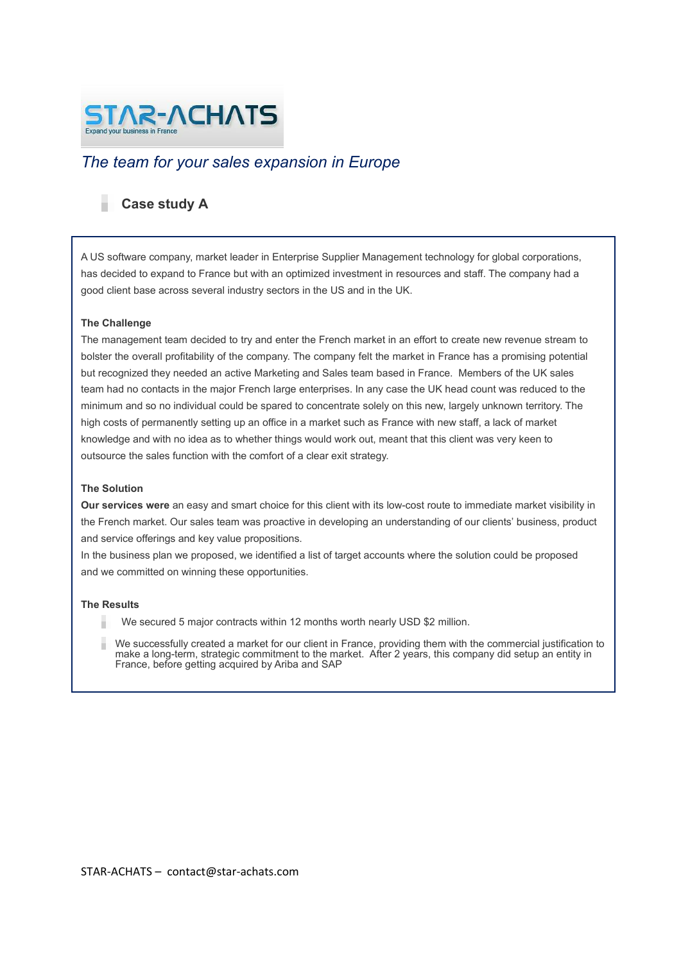

# *The team for your sales expansion in Europe*

## **Case study A**

A US software company, market leader in Enterprise Supplier Management technology for global corporations, has decided to expand to France but with an optimized investment in resources and staff. The company had a good client base across several industry sectors in the US and in the UK.

### **The Challenge**

The management team decided to try and enter the French market in an effort to create new revenue stream to bolster the overall profitability of the company. The company felt the market in France has a promising potential but recognized they needed an active Marketing and Sales team based in France. Members of the UK sales team had no contacts in the major French large enterprises. In any case the UK head count was reduced to the minimum and so no individual could be spared to concentrate solely on this new, largely unknown territory. The high costs of permanently setting up an office in a market such as France with new staff, a lack of market knowledge and with no idea as to whether things would work out, meant that this client was very keen to outsource the sales function with the comfort of a clear exit strategy.

### **The Solution**

**Our services were** an easy and smart choice for this client with its low-cost route to immediate market visibility in the French market. Our sales team was proactive in developing an understanding of our clients' business, product and service offerings and key value propositions.

In the business plan we proposed, we identified a list of target accounts where the solution could be proposed and we committed on winning these opportunities.

#### **The Results**

- We secured 5 major contracts within 12 months worth nearly USD \$2 million.
- We successfully created a market for our client in France, providing them with the commercial justification to make a long-term, strategic commitment to the market. After 2 years, this company did setup an entity in France, before getting acquired by Ariba and SAP